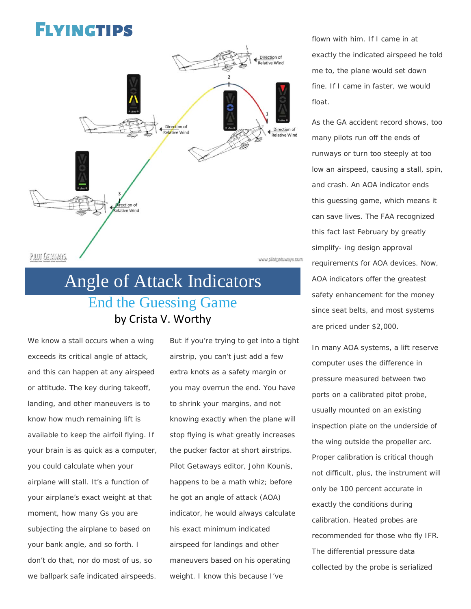## Flyingtips



## Angle of Attack Indicators End the Guessing Game by Crista V. Worthy

We know a stall occurs when a wing exceeds its critical angle of attack, and this can happen at any airspeed or attitude. The key during takeoff, landing, and other maneuvers is to know how much remaining lift is available to keep the airfoil flying. If your brain is as quick as a computer, you could calculate when your airplane will stall. It's a function of your airplane's exact weight at that moment, how many Gs you are subjecting the airplane to based on your bank angle, and so forth. I don't do that, nor do most of us, so we ballpark safe indicated airspeeds.

But if you're trying to get into a tight airstrip, you can't just add a few extra knots as a safety margin or you may overrun the end. You have to shrink your margins, and not knowing exactly when the plane will stop flying is what greatly increases the pucker factor at short airstrips. Pilot Getaways editor, John Kounis, happens to be a math whiz; before he got an angle of attack (AOA) indicator, he would always calculate his exact minimum indicated airspeed for landings and other maneuvers based on his operating weight. I know this because I've

flown with him. If I came in at exactly the indicated airspeed he told me to, the plane would set down fine. If I came in faster, we would float.

As the GA accident record shows, too many pilots run off the ends of runways or turn too steeply at too low an airspeed, causing a stall, spin, and crash. An AOA indicator ends this guessing game, which means it can save lives. The FAA recognized this fact last February by greatly simplify- ing design approval requirements for AOA devices. Now, AOA indicators offer the greatest safety enhancement for the money since seat belts, and most systems are priced under \$2,000.

In many AOA systems, a lift reserve computer uses the difference in pressure measured between two ports on a calibrated pitot probe, usually mounted on an existing inspection plate on the underside of the wing outside the propeller arc. Proper calibration is critical though not difficult, plus, the instrument will only be 100 percent accurate in exactly the conditions during calibration. Heated probes are recommended for those who fly IFR. The differential pressure data collected by the probe is serialized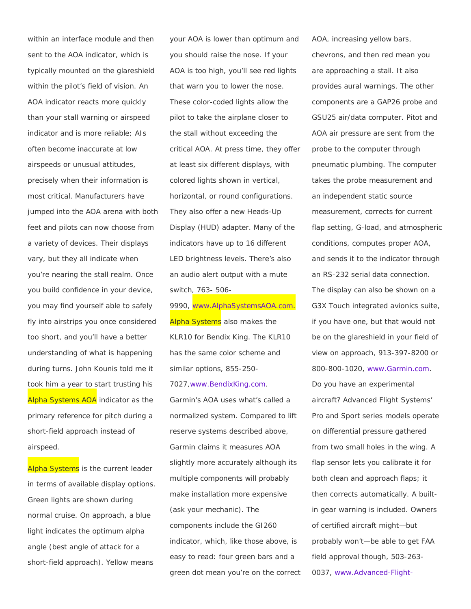within an interface module and then sent to the AOA indicator, which is typically mounted on the glareshield within the pilot's field of vision. An AOA indicator reacts more quickly than your stall warning or airspeed indicator and is more reliable; AIs often become inaccurate at low airspeeds or unusual attitudes, precisely when their information is most critical. Manufacturers have jumped into the AOA arena with both feet and pilots can now choose from a variety of devices. Their displays vary, but they all indicate when you're nearing the stall realm. Once you build confidence in your device, you may find yourself able to safely fly into airstrips you once considered too short, and you'll have a better understanding of what is happening during turns. John Kounis told me it took him a year to start trusting his Alpha Systems AOA indicator as the primary reference for pitch during a short-field approach instead of airspeed.

Alpha Systems is the current leader in terms of available display options. Green lights are shown during normal cruise. On approach, a blue light indicates the optimum alpha angle (best angle of attack for a short-field approach). Yellow means

your AOA is lower than optimum and you should raise the nose. If your AOA is too high, you'll see red lights that warn you to lower the nose. These color-coded lights allow the pilot to take the airplane closer to the stall without exceeding the critical AOA. At press time, they offer at least six different displays, with colored lights shown in vertical, horizontal, or round configurations. They also offer a new Heads-Up Display (HUD) adapter. Many of the indicators have up to 16 different LED brightness levels. There's also an audio alert output with a mute switch, 763- 506-

9990, [www.AlphaSystemsAOA.com.](http://www.alphasystemsaoa.com/) **Alpha Systems** also makes the KLR10 for Bendix King. The KLR10 has the same color scheme and similar options, 855-250- 7027[,www.BendixKing.com.](http://www.bendixking.com/)

Garmin's AOA uses what's called a normalized system. Compared to lift reserve systems described above, Garmin claims it measures AOA slightly more accurately although its multiple components will probably make installation more expensive (ask your mechanic). The components include the GI260 indicator, which, like those above, is easy to read: four green bars and a green dot mean you're on the correct AOA, increasing yellow bars, chevrons, and then red mean you are approaching a stall. It also provides aural warnings. The other components are a GAP26 probe and GSU25 air/data computer. Pitot and AOA air pressure are sent from the probe to the computer through pneumatic plumbing. The computer takes the probe measurement and an independent static source measurement, corrects for current flap setting, G-load, and atmospheric conditions, computes proper AOA, and sends it to the indicator through an RS-232 serial data connection. The display can also be shown on a G3X Touch integrated avionics suite, if you have one, but that would not be on the glareshield in your field of view on approach, 913-397-8200 or 800-800-1020, [www.Garmin.com.](http://www.garmin.com/) Do you have an experimental aircraft? Advanced Flight Systems' Pro and Sport series models operate on differential pressure gathered from two small holes in the wing. A flap sensor lets you calibrate it for both clean and approach flaps; it then corrects automatically. A builtin gear warning is included. Owners of certified aircraft might—but probably won't—be able to get FAA field approval though, 503-263- 0037, [www.Advanced-Flight-](http://www.advanced-flight-systems.com/)